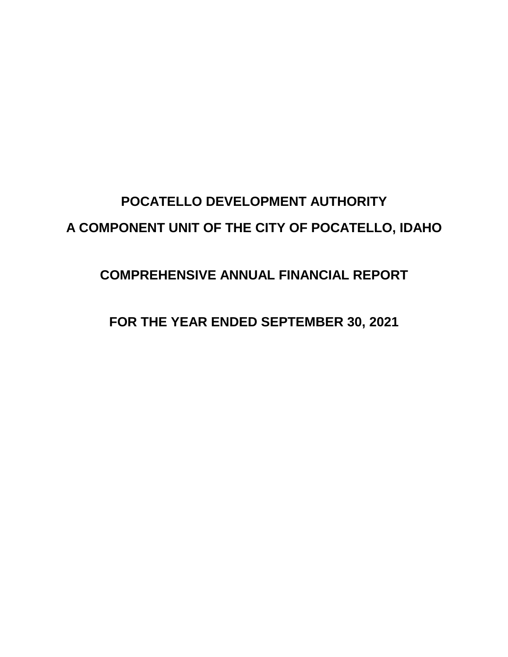# **POCATELLO DEVELOPMENT AUTHORITY A COMPONENT UNIT OF THE CITY OF POCATELLO, IDAHO**

# **COMPREHENSIVE ANNUAL FINANCIAL REPORT**

**FOR THE YEAR ENDED SEPTEMBER 30, 2021**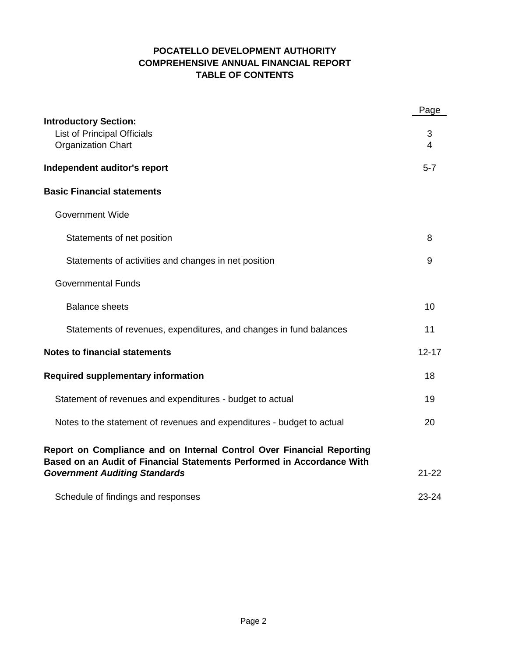### **POCATELLO DEVELOPMENT AUTHORITY COMPREHENSIVE ANNUAL FINANCIAL REPORT TABLE OF CONTENTS**

|                                                                                                                                                 | Page      |
|-------------------------------------------------------------------------------------------------------------------------------------------------|-----------|
| <b>Introductory Section:</b><br><b>List of Principal Officials</b><br><b>Organization Chart</b>                                                 | 3<br>4    |
| Independent auditor's report                                                                                                                    | $5 - 7$   |
| <b>Basic Financial statements</b>                                                                                                               |           |
| <b>Government Wide</b>                                                                                                                          |           |
| Statements of net position                                                                                                                      | 8         |
| Statements of activities and changes in net position                                                                                            | 9         |
| <b>Governmental Funds</b>                                                                                                                       |           |
| <b>Balance sheets</b>                                                                                                                           | 10        |
| Statements of revenues, expenditures, and changes in fund balances                                                                              | 11        |
| <b>Notes to financial statements</b>                                                                                                            | $12 - 17$ |
| <b>Required supplementary information</b>                                                                                                       | 18        |
| Statement of revenues and expenditures - budget to actual                                                                                       | 19        |
| Notes to the statement of revenues and expenditures - budget to actual                                                                          | 20        |
| Report on Compliance and on Internal Control Over Financial Reporting<br>Based on an Audit of Financial Statements Performed in Accordance With |           |
| <b>Government Auditing Standards</b>                                                                                                            | $21 - 22$ |
| Schedule of findings and responses                                                                                                              | $23 - 24$ |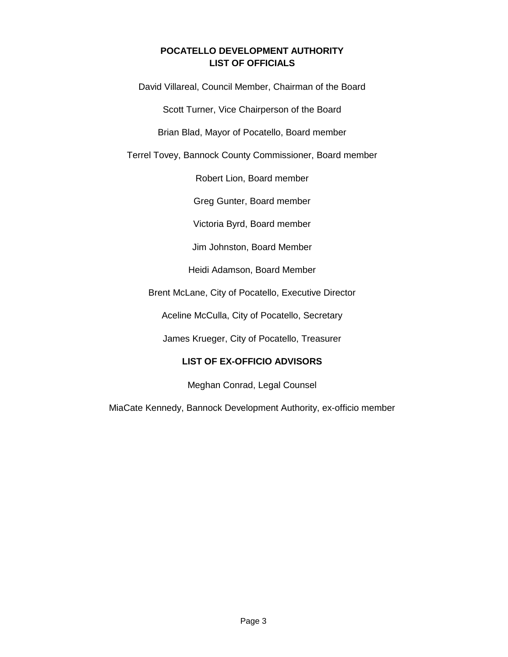### **POCATELLO DEVELOPMENT AUTHORITY LIST OF OFFICIALS**

David Villareal, Council Member, Chairman of the Board

Scott Turner, Vice Chairperson of the Board

Brian Blad, Mayor of Pocatello, Board member

Terrel Tovey, Bannock County Commissioner, Board member

Robert Lion, Board member

Greg Gunter, Board member

Victoria Byrd, Board member

Jim Johnston, Board Member

Heidi Adamson, Board Member

Brent McLane, City of Pocatello, Executive Director

Aceline McCulla, City of Pocatello, Secretary

James Krueger, City of Pocatello, Treasurer

### **LIST OF EX-OFFICIO ADVISORS**

Meghan Conrad, Legal Counsel

MiaCate Kennedy, Bannock Development Authority, ex-officio member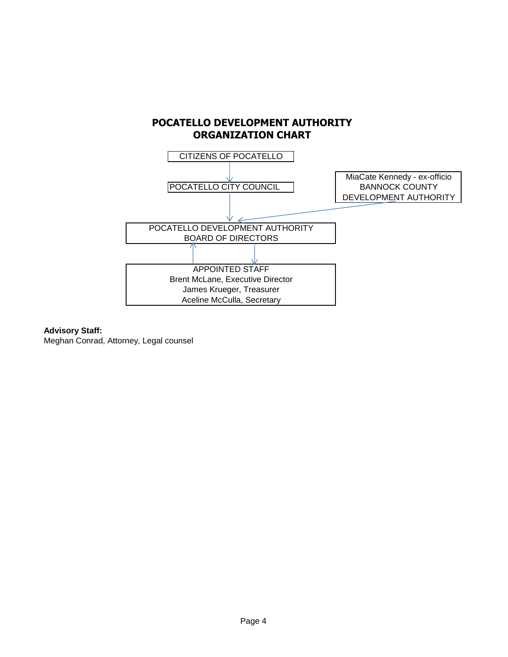### **POCATELLO DEVELOPMENT AUTHORITY ORGANIZATION CHART**



#### **Advisory Staff:**

Meghan Conrad, Attorney, Legal counsel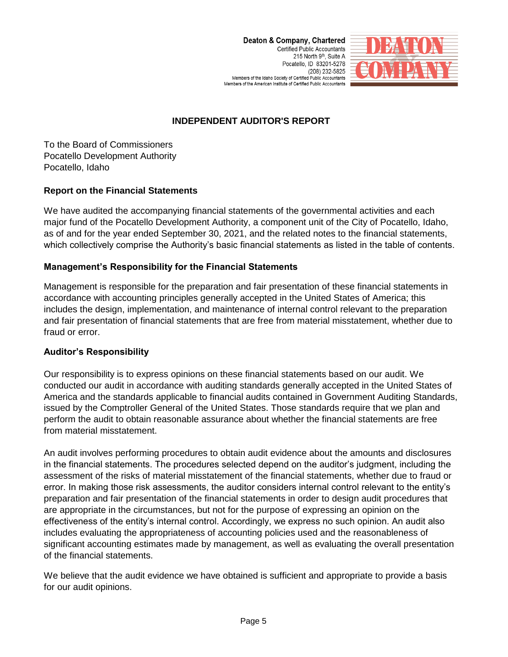Deaton & Company, Chartered **Certified Public Accountants** 215 North 9th, Suite A Pocatello, ID 83201-5278 (208) 232-5825 Members of the Idaho Society of Certified Public Accountants Members of the American Institute of Certified Public Accountants



### **INDEPENDENT AUDITOR'S REPORT**

To the Board of Commissioners Pocatello Development Authority Pocatello, Idaho

#### **Report on the Financial Statements**

We have audited the accompanying financial statements of the governmental activities and each major fund of the Pocatello Development Authority, a component unit of the City of Pocatello, Idaho, as of and for the year ended September 30, 2021, and the related notes to the financial statements, which collectively comprise the Authority's basic financial statements as listed in the table of contents.

### **Management's Responsibility for the Financial Statements**

Management is responsible for the preparation and fair presentation of these financial statements in accordance with accounting principles generally accepted in the United States of America; this includes the design, implementation, and maintenance of internal control relevant to the preparation and fair presentation of financial statements that are free from material misstatement, whether due to fraud or error.

#### **Auditor's Responsibility**

Our responsibility is to express opinions on these financial statements based on our audit. We conducted our audit in accordance with auditing standards generally accepted in the United States of America and the standards applicable to financial audits contained in Government Auditing Standards, issued by the Comptroller General of the United States. Those standards require that we plan and perform the audit to obtain reasonable assurance about whether the financial statements are free from material misstatement.

An audit involves performing procedures to obtain audit evidence about the amounts and disclosures in the financial statements. The procedures selected depend on the auditor's judgment, including the assessment of the risks of material misstatement of the financial statements, whether due to fraud or error. In making those risk assessments, the auditor considers internal control relevant to the entity's preparation and fair presentation of the financial statements in order to design audit procedures that are appropriate in the circumstances, but not for the purpose of expressing an opinion on the effectiveness of the entity's internal control. Accordingly, we express no such opinion. An audit also includes evaluating the appropriateness of accounting policies used and the reasonableness of significant accounting estimates made by management, as well as evaluating the overall presentation of the financial statements.

We believe that the audit evidence we have obtained is sufficient and appropriate to provide a basis for our audit opinions.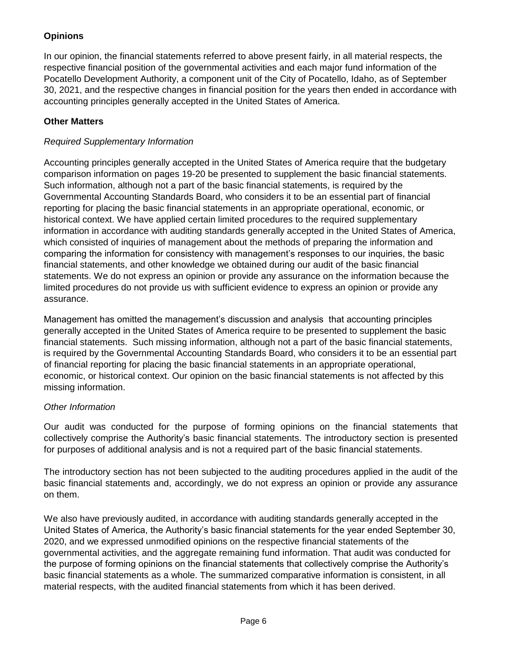### **Opinions**

In our opinion, the financial statements referred to above present fairly, in all material respects, the respective financial position of the governmental activities and each major fund information of the Pocatello Development Authority, a component unit of the City of Pocatello, Idaho, as of September 30, 2021, and the respective changes in financial position for the years then ended in accordance with accounting principles generally accepted in the United States of America.

### **Other Matters**

### *Required Supplementary Information*

Accounting principles generally accepted in the United States of America require that the budgetary comparison information on pages 19-20 be presented to supplement the basic financial statements. Such information, although not a part of the basic financial statements, is required by the Governmental Accounting Standards Board, who considers it to be an essential part of financial reporting for placing the basic financial statements in an appropriate operational, economic, or historical context. We have applied certain limited procedures to the required supplementary information in accordance with auditing standards generally accepted in the United States of America, which consisted of inquiries of management about the methods of preparing the information and comparing the information for consistency with management's responses to our inquiries, the basic financial statements, and other knowledge we obtained during our audit of the basic financial statements. We do not express an opinion or provide any assurance on the information because the limited procedures do not provide us with sufficient evidence to express an opinion or provide any assurance.

Management has omitted the management's discussion and analysis that accounting principles generally accepted in the United States of America require to be presented to supplement the basic financial statements. Such missing information, although not a part of the basic financial statements, is required by the Governmental Accounting Standards Board, who considers it to be an essential part of financial reporting for placing the basic financial statements in an appropriate operational, economic, or historical context. Our opinion on the basic financial statements is not affected by this missing information.

### *Other Information*

Our audit was conducted for the purpose of forming opinions on the financial statements that collectively comprise the Authority's basic financial statements. The introductory section is presented for purposes of additional analysis and is not a required part of the basic financial statements.

The introductory section has not been subjected to the auditing procedures applied in the audit of the basic financial statements and, accordingly, we do not express an opinion or provide any assurance on them.

We also have previously audited, in accordance with auditing standards generally accepted in the United States of America, the Authority's basic financial statements for the year ended September 30, 2020, and we expressed unmodified opinions on the respective financial statements of the governmental activities, and the aggregate remaining fund information. That audit was conducted for the purpose of forming opinions on the financial statements that collectively comprise the Authority's basic financial statements as a whole. The summarized comparative information is consistent, in all material respects, with the audited financial statements from which it has been derived.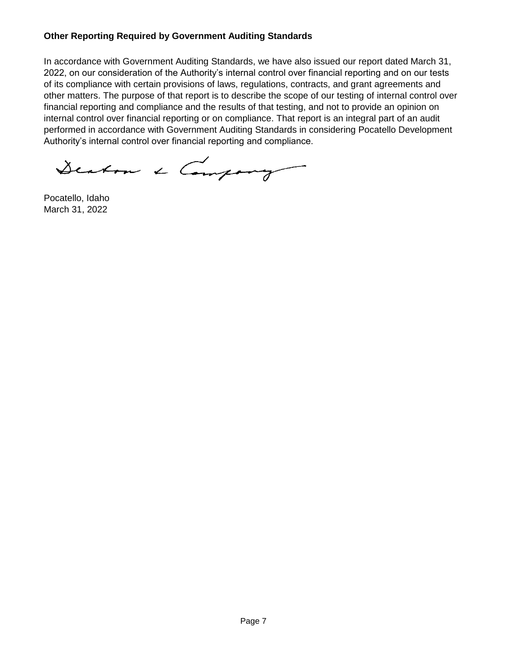### **Other Reporting Required by Government Auditing Standards**

In accordance with Government Auditing Standards, we have also issued our report dated March 31, 2022, on our consideration of the Authority's internal control over financial reporting and on our tests of its compliance with certain provisions of laws, regulations, contracts, and grant agreements and other matters. The purpose of that report is to describe the scope of our testing of internal control over financial reporting and compliance and the results of that testing, and not to provide an opinion on internal control over financial reporting or on compliance. That report is an integral part of an audit performed in accordance with Government Auditing Standards in considering Pocatello Development Authority's internal control over financial reporting and compliance.

Deaton & Company

Pocatello, Idaho March 31, 2022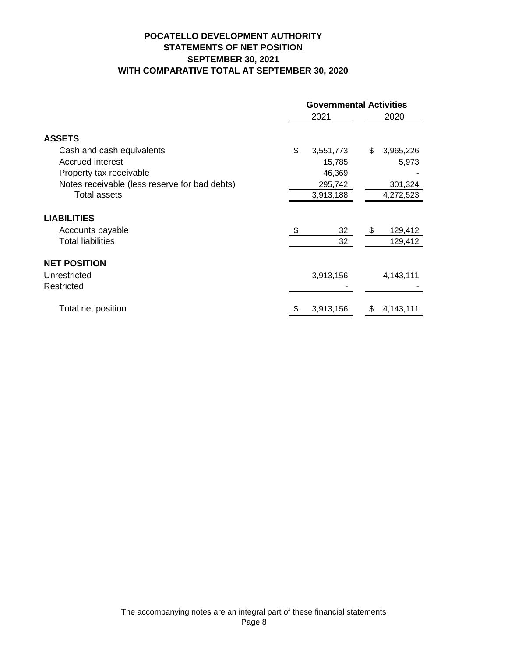### **POCATELLO DEVELOPMENT AUTHORITY STATEMENTS OF NET POSITION SEPTEMBER 30, 2021 WITH COMPARATIVE TOTAL AT SEPTEMBER 30, 2020**

|                                               | <b>Governmental Activities</b> |           |    |             |  |  |
|-----------------------------------------------|--------------------------------|-----------|----|-------------|--|--|
|                                               | 2021                           |           |    | 2020        |  |  |
| <b>ASSETS</b>                                 |                                |           |    |             |  |  |
| Cash and cash equivalents                     | \$                             | 3,551,773 | \$ | 3,965,226   |  |  |
| <b>Accrued interest</b>                       |                                | 15,785    |    | 5,973       |  |  |
| Property tax receivable                       |                                | 46,369    |    |             |  |  |
| Notes receivable (less reserve for bad debts) |                                | 295,742   |    | 301,324     |  |  |
| <b>Total assets</b>                           |                                | 3,913,188 |    | 4,272,523   |  |  |
| <b>LIABILITIES</b>                            |                                |           |    |             |  |  |
| Accounts payable                              | \$                             | 32        | \$ | 129,412     |  |  |
| <b>Total liabilities</b>                      |                                | 32        |    | 129,412     |  |  |
| <b>NET POSITION</b>                           |                                |           |    |             |  |  |
| Unrestricted                                  |                                | 3,913,156 |    | 4,143,111   |  |  |
| Restricted                                    |                                |           |    |             |  |  |
| Total net position                            |                                | 3,913,156 |    | 4, 143, 111 |  |  |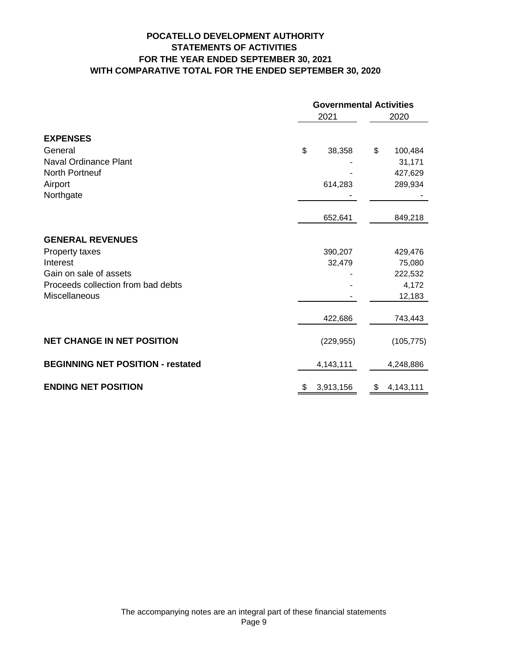### **POCATELLO DEVELOPMENT AUTHORITY STATEMENTS OF ACTIVITIES FOR THE YEAR ENDED SEPTEMBER 30, 2021 WITH COMPARATIVE TOTAL FOR THE ENDED SEPTEMBER 30, 2020**

|                                          | <b>Governmental Activities</b> |    |             |  |
|------------------------------------------|--------------------------------|----|-------------|--|
|                                          | 2021                           |    | 2020        |  |
| <b>EXPENSES</b>                          |                                |    |             |  |
| General                                  | \$<br>38,358                   | \$ | 100,484     |  |
| <b>Naval Ordinance Plant</b>             |                                |    | 31,171      |  |
| <b>North Portneuf</b>                    |                                |    | 427,629     |  |
| Airport                                  | 614,283                        |    | 289,934     |  |
| Northgate                                |                                |    |             |  |
|                                          | 652,641                        |    | 849,218     |  |
| <b>GENERAL REVENUES</b>                  |                                |    |             |  |
| Property taxes                           | 390,207                        |    | 429,476     |  |
| Interest                                 | 32,479                         |    | 75,080      |  |
| Gain on sale of assets                   |                                |    | 222,532     |  |
| Proceeds collection from bad debts       |                                |    | 4,172       |  |
| Miscellaneous                            |                                |    | 12,183      |  |
|                                          | 422,686                        |    | 743,443     |  |
| <b>NET CHANGE IN NET POSITION</b>        | (229, 955)                     |    | (105, 775)  |  |
| <b>BEGINNING NET POSITION - restated</b> | 4,143,111                      |    | 4,248,886   |  |
| <b>ENDING NET POSITION</b>               | \$<br>3,913,156                | \$ | 4, 143, 111 |  |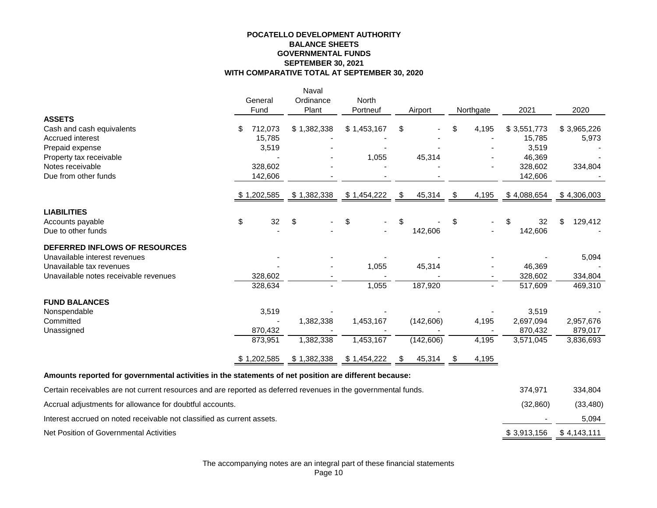#### **POCATELLO DEVELOPMENT AUTHORITY BALANCE SHEETS GOVERNMENTAL FUNDS SEPTEMBER 30, 2021 WITH COMPARATIVE TOTAL AT SEPTEMBER 30, 2020**

|                                                                                                                |    | General<br>Fund            | Naval<br>Ordinance<br>Plant | North<br>Portneuf |    |            |     |           | 2021                           | 2020                 |
|----------------------------------------------------------------------------------------------------------------|----|----------------------------|-----------------------------|-------------------|----|------------|-----|-----------|--------------------------------|----------------------|
| <b>ASSETS</b>                                                                                                  |    |                            |                             |                   |    | Airport    |     | Northgate |                                |                      |
| Cash and cash equivalents<br>Accrued interest<br>Prepaid expense                                               | S  | 712,073<br>15,785<br>3,519 | \$1,382,338                 | \$1,453,167       | \$ |            |     | 4,195     | \$3,551,773<br>15,785<br>3,519 | \$3,965,226<br>5,973 |
| Property tax receivable<br>Notes receivable<br>Due from other funds                                            |    | 328,602<br>142,606         |                             | 1,055             |    | 45,314     |     |           | 46,369<br>328,602<br>142,606   | 334,804              |
|                                                                                                                |    | \$1,202,585                | \$1,382,338                 | \$1,454,222       | \$ | 45,314     | -\$ | 4,195     | \$4,088,654                    | \$4,306,003          |
| <b>LIABILITIES</b>                                                                                             |    |                            |                             |                   |    |            |     |           |                                |                      |
| Accounts payable<br>Due to other funds                                                                         | \$ | 32                         | \$                          | \$                | \$ | 142,606    | \$  |           | \$<br>32<br>142,606            | 129,412<br>\$        |
| DEFERRED INFLOWS OF RESOURCES<br>Unavailable interest revenues                                                 |    |                            |                             |                   |    |            |     |           |                                | 5,094                |
| Unavailable tax revenues                                                                                       |    |                            |                             | 1,055             |    | 45,314     |     |           | 46,369                         |                      |
| Unavailable notes receivable revenues                                                                          |    | 328,602                    |                             |                   |    |            |     |           | 328,602                        | 334,804              |
|                                                                                                                |    | 328,634                    |                             | 1,055             |    | 187,920    |     |           | 517,609                        | 469,310              |
| <b>FUND BALANCES</b>                                                                                           |    |                            |                             |                   |    |            |     |           |                                |                      |
| Nonspendable                                                                                                   |    | 3,519                      |                             |                   |    |            |     |           | 3,519                          |                      |
| Committed                                                                                                      |    | 870,432                    | 1,382,338                   | 1,453,167         |    | (142, 606) |     | 4,195     | 2,697,094<br>870,432           | 2,957,676<br>879,017 |
| Unassigned                                                                                                     |    | 873,951                    | 1,382,338                   | 1,453,167         |    | (142, 606) |     | 4,195     | 3,571,045                      | 3,836,693            |
|                                                                                                                |    | \$1,202,585                | \$1,382,338                 | \$1,454,222       | S  | 45,314     | -\$ | 4,195     |                                |                      |
| Amounts reported for governmental activities in the statements of net position are different because:          |    |                            |                             |                   |    |            |     |           |                                |                      |
| Certain receivables are not current resources and are reported as deferred revenues in the governmental funds. |    |                            |                             |                   |    |            |     |           | 374,971                        | 334,804              |
| Accrual adjustments for allowance for doubtful accounts.                                                       |    |                            |                             |                   |    |            |     |           | (32, 860)                      | (33, 480)            |
| Interest accrued on noted receivable not classified as current assets.                                         |    |                            |                             |                   |    |            |     |           |                                | 5,094                |

Net Position of Governmental Activities **\$** 3,913,156 \$ 4,143,111

The accompanying notes are an integral part of these financial statements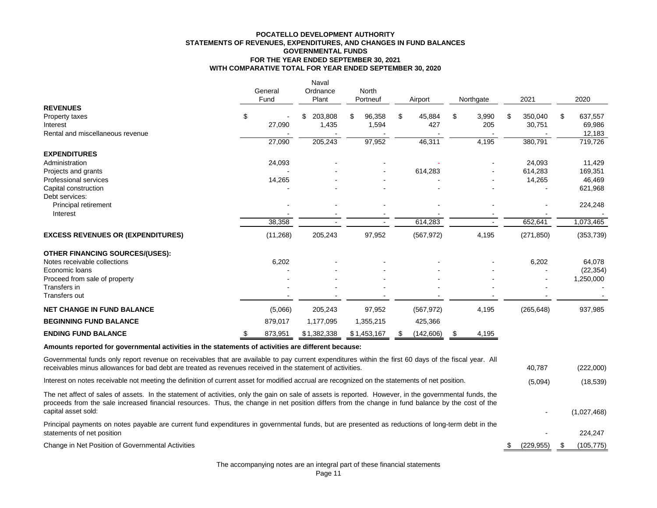#### **POCATELLO DEVELOPMENT AUTHORITY STATEMENTS OF REVENUES, EXPENDITURES, AND CHANGES IN FUND BALANCES GOVERNMENTAL FUNDS FOR THE YEAR ENDED SEPTEMBER 30, 2021 WITH COMPARATIVE TOTAL FOR YEAR ENDED SEPTEMBER 30, 2020**

|                                                                                                                                                                                                                                                                                                                                     | General<br>Fund | Naval<br>Ordnance<br>Plant | <b>North</b><br>Portneuf |    | Airport       | Northgate          |    | 2021              | 2020                              |
|-------------------------------------------------------------------------------------------------------------------------------------------------------------------------------------------------------------------------------------------------------------------------------------------------------------------------------------|-----------------|----------------------------|--------------------------|----|---------------|--------------------|----|-------------------|-----------------------------------|
| <b>REVENUES</b>                                                                                                                                                                                                                                                                                                                     |                 |                            |                          |    |               |                    |    |                   |                                   |
| Property taxes<br>Interest<br>Rental and miscellaneous revenue                                                                                                                                                                                                                                                                      | \$<br>27,090    | 203,808<br>ß.<br>1,435     | \$<br>96,358<br>1,594    | \$ | 45,884<br>427 | \$<br>3,990<br>205 | S  | 350,040<br>30,751 | \$<br>637,557<br>69,986<br>12,183 |
|                                                                                                                                                                                                                                                                                                                                     | 27,090          | 205,243                    | 97,952                   |    | 46,311        | 4,195              |    | 380,791           | 719,726                           |
| <b>EXPENDITURES</b>                                                                                                                                                                                                                                                                                                                 |                 |                            |                          |    |               |                    |    |                   |                                   |
| Administration                                                                                                                                                                                                                                                                                                                      | 24,093          |                            |                          |    |               |                    |    | 24,093            | 11,429                            |
| Projects and grants                                                                                                                                                                                                                                                                                                                 |                 |                            |                          |    | 614,283       |                    |    | 614,283           | 169,351                           |
| Professional services                                                                                                                                                                                                                                                                                                               | 14,265          |                            |                          |    |               |                    |    | 14,265            | 46,469                            |
| Capital construction<br>Debt services:                                                                                                                                                                                                                                                                                              |                 |                            |                          |    |               |                    |    |                   | 621,968                           |
| Principal retirement                                                                                                                                                                                                                                                                                                                |                 |                            |                          |    |               |                    |    |                   | 224,248                           |
| Interest                                                                                                                                                                                                                                                                                                                            |                 |                            |                          |    |               |                    |    |                   |                                   |
|                                                                                                                                                                                                                                                                                                                                     | 38,358          |                            |                          |    | 614,283       |                    |    | 652,641           | 1,073,465                         |
| <b>EXCESS REVENUES OR (EXPENDITURES)</b>                                                                                                                                                                                                                                                                                            | (11, 268)       | 205,243                    | 97,952                   |    | (567, 972)    | 4,195              |    | (271, 850)        | (353, 739)                        |
| <b>OTHER FINANCING SOURCES/(USES):</b>                                                                                                                                                                                                                                                                                              |                 |                            |                          |    |               |                    |    |                   |                                   |
| Notes receivable collections                                                                                                                                                                                                                                                                                                        | 6,202           |                            |                          |    |               |                    |    | 6,202             | 64,078                            |
| Economic loans                                                                                                                                                                                                                                                                                                                      |                 |                            |                          |    |               |                    |    |                   | (22, 354)                         |
| Proceed from sale of property<br>Transfers in                                                                                                                                                                                                                                                                                       |                 |                            |                          |    |               |                    |    |                   | 1,250,000                         |
| <b>Transfers out</b>                                                                                                                                                                                                                                                                                                                |                 |                            |                          |    |               |                    |    |                   |                                   |
| <b>NET CHANGE IN FUND BALANCE</b>                                                                                                                                                                                                                                                                                                   | (5,066)         | 205,243                    | 97,952                   |    | (567, 972)    | 4,195              |    | (265, 648)        | 937,985                           |
| <b>BEGINNING FUND BALANCE</b>                                                                                                                                                                                                                                                                                                       | 879,017         | 1,177,095                  | 1,355,215                |    | 425,366       |                    |    |                   |                                   |
| <b>ENDING FUND BALANCE</b>                                                                                                                                                                                                                                                                                                          | 873,951         | \$1,382,338                | \$1,453,167              | S. | (142,606)     | \$<br>4,195        |    |                   |                                   |
| Amounts reported for governmental activities in the statements of activities are different because:                                                                                                                                                                                                                                 |                 |                            |                          |    |               |                    |    |                   |                                   |
| Governmental funds only report revenue on receivables that are available to pay current expenditures within the first 60 days of the fiscal year. All<br>receivables minus allowances for bad debt are treated as revenues received in the statement of activities.                                                                 |                 |                            |                          |    |               |                    |    | 40,787            | (222,000)                         |
| Interest on notes receivable not meeting the definition of current asset for modified accrual are recognized on the statements of net position.                                                                                                                                                                                     |                 |                            |                          |    |               |                    |    | (5,094)           | (18, 539)                         |
| The net affect of sales of assets. In the statement of activities, only the gain on sale of assets is reported. However, in the governmental funds, the<br>proceeds from the sale increased financial resources. Thus, the change in net position differs from the change in fund balance by the cost of the<br>capital asset sold: |                 |                            |                          |    |               |                    |    |                   | (1,027,468)                       |
| Principal payments on notes payable are current fund expenditures in governmental funds, but are presented as reductions of long-term debt in the<br>statements of net position                                                                                                                                                     |                 |                            |                          |    |               |                    |    |                   | 224,247                           |
| Change in Net Position of Governmental Activities                                                                                                                                                                                                                                                                                   |                 |                            |                          |    |               |                    | \$ | (229, 955)        | \$<br>(105, 775)                  |

The accompanying notes are an integral part of these financial statements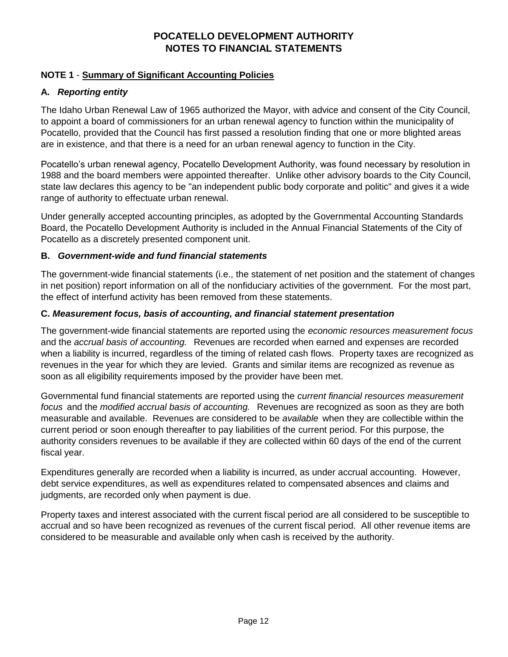### **NOTE 1** - **Summary of Significant Accounting Policies**

### **A.** *Reporting entity*

The Idaho Urban Renewal Law of 1965 authorized the Mayor, with advice and consent of the City Council, to appoint a board of commissioners for an urban renewal agency to function within the municipality of Pocatello, provided that the Council has first passed a resolution finding that one or more blighted areas are in existence, and that there is a need for an urban renewal agency to function in the City.

Pocatello's urban renewal agency, Pocatello Development Authority, was found necessary by resolution in 1988 and the board members were appointed thereafter. Unlike other advisory boards to the City Council, state law declares this agency to be "an independent public body corporate and politic" and gives it a wide range of authority to effectuate urban renewal.

Under generally accepted accounting principles, as adopted by the Governmental Accounting Standards Board, the Pocatello Development Authority is included in the Annual Financial Statements of the City of Pocatello as a discretely presented component unit.

### **B.** *Government-wide and fund financial statements*

The government-wide financial statements (i.e., the statement of net position and the statement of changes in net position) report information on all of the nonfiduciary activities of the government. For the most part, the effect of interfund activity has been removed from these statements.

### **C.** *Measurement focus, basis of accounting, and financial statement presentation*

The government-wide financial statements are reported using the *economic resources measurement focus*  and the *accrual basis of accounting.* Revenues are recorded when earned and expenses are recorded when a liability is incurred, regardless of the timing of related cash flows. Property taxes are recognized as revenues in the year for which they are levied. Grants and similar items are recognized as revenue as soon as all eligibility requirements imposed by the provider have been met.

Governmental fund financial statements are reported using the *current financial resources measurement focus* and the *modified accrual basis of accounting.* Revenues are recognized as soon as they are both measurable and available. Revenues are considered to be *available* when they are collectible within the current period or soon enough thereafter to pay liabilities of the current period. For this purpose, the authority considers revenues to be available if they are collected within 60 days of the end of the current fiscal year.

Expenditures generally are recorded when a liability is incurred, as under accrual accounting. However, debt service expenditures, as well as expenditures related to compensated absences and claims and judgments, are recorded only when payment is due.

Property taxes and interest associated with the current fiscal period are all considered to be susceptible to accrual and so have been recognized as revenues of the current fiscal period. All other revenue items are considered to be measurable and available only when cash is received by the authority.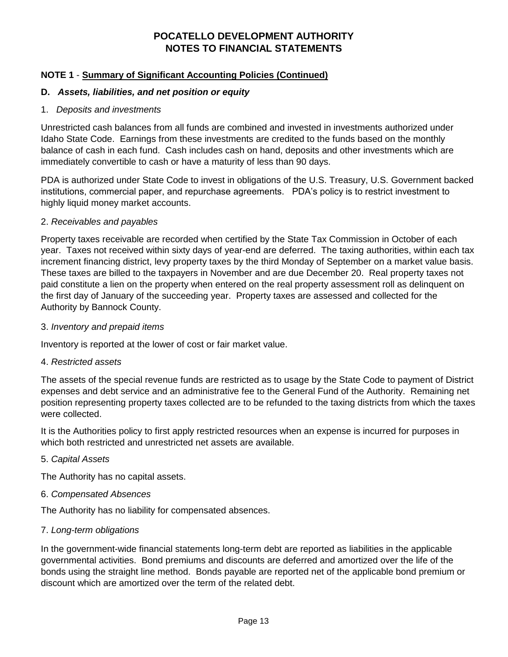### **NOTE 1** - **Summary of Significant Accounting Policies (Continued)**

#### **D.** *Assets, liabilities, and net position or equity*

#### 1. *Deposits and investments*

Unrestricted cash balances from all funds are combined and invested in investments authorized under Idaho State Code. Earnings from these investments are credited to the funds based on the monthly balance of cash in each fund. Cash includes cash on hand, deposits and other investments which are immediately convertible to cash or have a maturity of less than 90 days.

PDA is authorized under State Code to invest in obligations of the U.S. Treasury, U.S. Government backed institutions, commercial paper, and repurchase agreements. PDA's policy is to restrict investment to highly liquid money market accounts.

#### 2. *Receivables and payables*

Property taxes receivable are recorded when certified by the State Tax Commission in October of each year. Taxes not received within sixty days of year-end are deferred. The taxing authorities, within each tax increment financing district, levy property taxes by the third Monday of September on a market value basis. These taxes are billed to the taxpayers in November and are due December 20. Real property taxes not paid constitute a lien on the property when entered on the real property assessment roll as delinquent on the first day of January of the succeeding year. Property taxes are assessed and collected for the Authority by Bannock County.

#### 3. *Inventory and prepaid items*

Inventory is reported at the lower of cost or fair market value.

#### 4. *Restricted assets*

The assets of the special revenue funds are restricted as to usage by the State Code to payment of District expenses and debt service and an administrative fee to the General Fund of the Authority. Remaining net position representing property taxes collected are to be refunded to the taxing districts from which the taxes were collected.

It is the Authorities policy to first apply restricted resources when an expense is incurred for purposes in which both restricted and unrestricted net assets are available.

#### 5. *Capital Assets*

The Authority has no capital assets.

#### 6. *Compensated Absences*

The Authority has no liability for compensated absences.

#### 7. *Long-term obligations*

In the government-wide financial statements long-term debt are reported as liabilities in the applicable governmental activities. Bond premiums and discounts are deferred and amortized over the life of the bonds using the straight line method. Bonds payable are reported net of the applicable bond premium or discount which are amortized over the term of the related debt.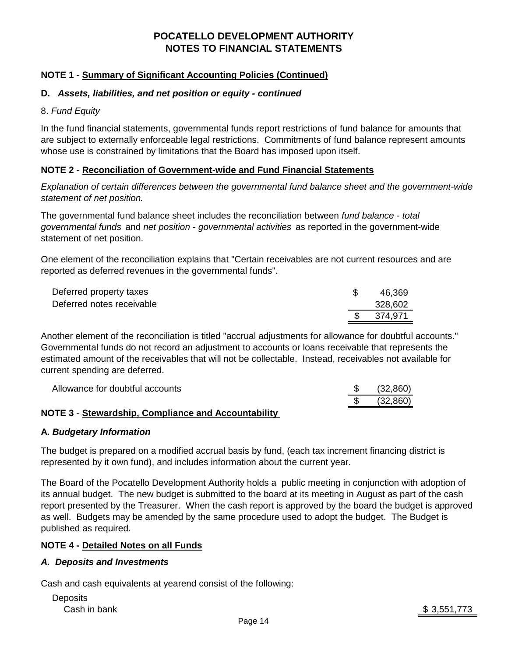### **NOTE 1** - **Summary of Significant Accounting Policies (Continued)**

#### **D.** *Assets, liabilities, and net position or equity - continued*

#### 8. *Fund Equity*

In the fund financial statements, governmental funds report restrictions of fund balance for amounts that are subject to externally enforceable legal restrictions. Commitments of fund balance represent amounts whose use is constrained by limitations that the Board has imposed upon itself.

### **NOTE 2** - **Reconciliation of Government-wide and Fund Financial Statements**

*Explanation of certain differences between the governmental fund balance sheet and the government-wide statement of net position.*

The governmental fund balance sheet includes the reconciliation between *fund balance - total governmental funds* and *net position - governmental activities* as reported in the government-wide statement of net position.

One element of the reconciliation explains that "Certain receivables are not current resources and are reported as deferred revenues in the governmental funds".

| Deferred property taxes   | 46,369  |
|---------------------------|---------|
| Deferred notes receivable | 328,602 |
|                           | 374,971 |

Another element of the reconciliation is titled "accrual adjustments for allowance for doubtful accounts." Governmental funds do not record an adjustment to accounts or loans receivable that represents the estimated amount of the receivables that will not be collectable. Instead, receivables not available for current spending are deferred.

| Allowance for doubtful accounts | (32, 860) |
|---------------------------------|-----------|
|                                 | (32, 860) |

### **NOTE 3** - **Stewardship, Compliance and Accountability**

#### **A.** *Budgetary Information*

The budget is prepared on a modified accrual basis by fund, (each tax increment financing district is represented by it own fund), and includes information about the current year.

The Board of the Pocatello Development Authority holds a public meeting in conjunction with adoption of its annual budget. The new budget is submitted to the board at its meeting in August as part of the cash report presented by the Treasurer. When the cash report is approved by the board the budget is approved as well. Budgets may be amended by the same procedure used to adopt the budget. The Budget is published as required.

#### **NOTE 4 - Detailed Notes on all Funds**

#### *A. Deposits and Investments*

Cash and cash equivalents at yearend consist of the following:

**Deposits**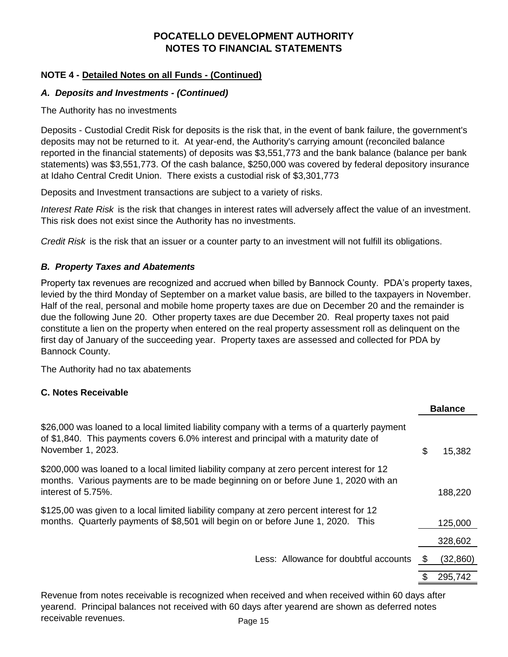### **NOTE 4 - Detailed Notes on all Funds - (Continued)**

### *A. Deposits and Investments - (Continued)*

The Authority has no investments

Deposits - Custodial Credit Risk for deposits is the risk that, in the event of bank failure, the government's deposits may not be returned to it. At year-end, the Authority's carrying amount (reconciled balance reported in the financial statements) of deposits was \$3,551,773 and the bank balance (balance per bank statements) was \$3,551,773. Of the cash balance, \$250,000 was covered by federal depository insurance at Idaho Central Credit Union. There exists a custodial risk of \$3,301,773

Deposits and Investment transactions are subject to a variety of risks.

*Interest Rate Risk* is the risk that changes in interest rates will adversely affect the value of an investment. This risk does not exist since the Authority has no investments.

*Credit Risk* is the risk that an issuer or a counter party to an investment will not fulfill its obligations.

#### *B. Property Taxes and Abatements*

Property tax revenues are recognized and accrued when billed by Bannock County. PDA's property taxes, levied by the third Monday of September on a market value basis, are billed to the taxpayers in November. Half of the real, personal and mobile home property taxes are due on December 20 and the remainder is due the following June 20. Other property taxes are due December 20. Real property taxes not paid constitute a lien on the property when entered on the real property assessment roll as delinquent on the first day of January of the succeeding year. Property taxes are assessed and collected for PDA by Bannock County.

The Authority had no tax abatements

#### **C. Notes Receivable**

|                                                                                                                                                                                                           |    | <b>Balance</b> |
|-----------------------------------------------------------------------------------------------------------------------------------------------------------------------------------------------------------|----|----------------|
| \$26,000 was loaned to a local limited liability company with a terms of a quarterly payment<br>of \$1,840. This payments covers 6.0% interest and principal with a maturity date of<br>November 1, 2023. | \$ | 15,382         |
| \$200,000 was loaned to a local limited liability company at zero percent interest for 12<br>months. Various payments are to be made beginning on or before June 1, 2020 with an<br>interest of 5.75%.    |    | 188,220        |
| \$125,00 was given to a local limited liability company at zero percent interest for 12<br>months. Quarterly payments of \$8,501 will begin on or before June 1, 2020. This                               |    | 125,000        |
|                                                                                                                                                                                                           |    | 328,602        |
| Less: Allowance for doubtful accounts                                                                                                                                                                     | \$ | (32, 860)      |
|                                                                                                                                                                                                           |    | 295,742        |

Revenue from notes receivable is recognized when received and when received within 60 days after yearend. Principal balances not received with 60 days after yearend are shown as deferred notes receivable revenues. Page 15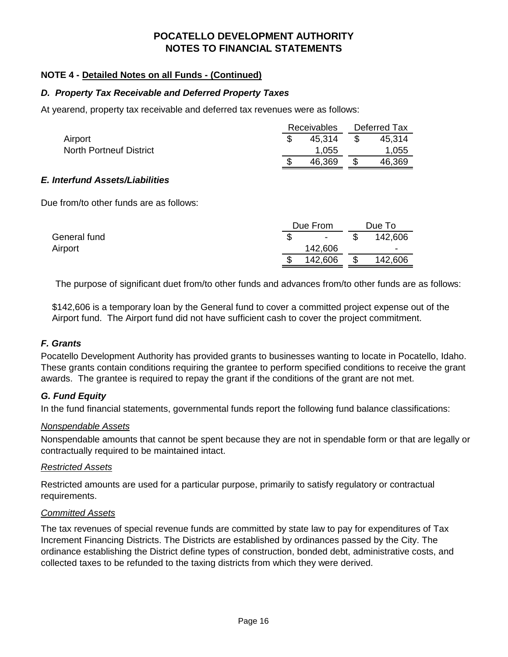### **NOTE 4 - Detailed Notes on all Funds - (Continued)**

### *D. Property Tax Receivable and Deferred Property Taxes*

At yearend, property tax receivable and deferred tax revenues were as follows:

|                                |  | Receivables |  | Deferred Tax |
|--------------------------------|--|-------------|--|--------------|
| Airport                        |  | 45.314      |  | 45,314       |
| <b>North Portneuf District</b> |  | 1,055       |  | 1,055        |
|                                |  | 46,369      |  | 46,369       |

### *E. Interfund Assets/Liabilities*

Due from/to other funds are as follows:

|              | Due From | Due To                   |         |
|--------------|----------|--------------------------|---------|
| General fund |          | $\overline{\phantom{a}}$ | 142,606 |
| Airport      |          | 142,606                  | -       |
|              |          | 142,606                  | 142,606 |

The purpose of significant duet from/to other funds and advances from/to other funds are as follows:

\$142,606 is a temporary loan by the General fund to cover a committed project expense out of the Airport fund. The Airport fund did not have sufficient cash to cover the project commitment.

#### *F. Grants*

Pocatello Development Authority has provided grants to businesses wanting to locate in Pocatello, Idaho. These grants contain conditions requiring the grantee to perform specified conditions to receive the grant awards. The grantee is required to repay the grant if the conditions of the grant are not met.

#### *G. Fund Equity*

In the fund financial statements, governmental funds report the following fund balance classifications:

### *Nonspendable Assets*

Nonspendable amounts that cannot be spent because they are not in spendable form or that are legally or contractually required to be maintained intact.

#### *Restricted Assets*

Restricted amounts are used for a particular purpose, primarily to satisfy regulatory or contractual requirements.

#### *Committed Assets*

The tax revenues of special revenue funds are committed by state law to pay for expenditures of Tax Increment Financing Districts. The Districts are established by ordinances passed by the City. The ordinance establishing the District define types of construction, bonded debt, administrative costs, and collected taxes to be refunded to the taxing districts from which they were derived.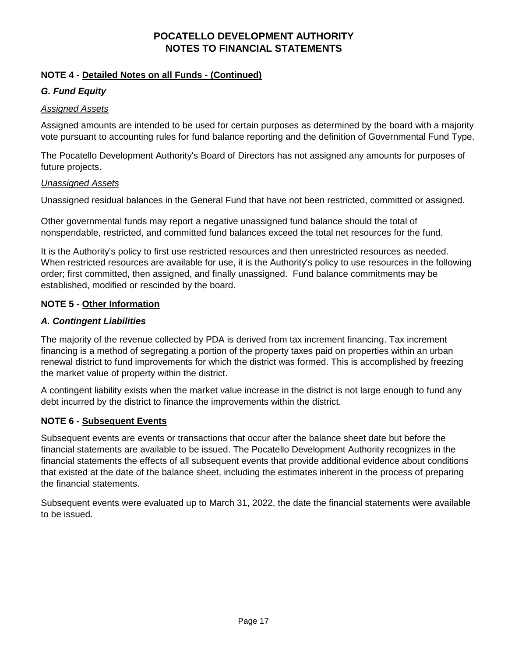### **NOTE 4 - Detailed Notes on all Funds - (Continued)**

### *G. Fund Equity*

#### *Assigned Assets*

Assigned amounts are intended to be used for certain purposes as determined by the board with a majority vote pursuant to accounting rules for fund balance reporting and the definition of Governmental Fund Type.

The Pocatello Development Authority's Board of Directors has not assigned any amounts for purposes of future projects.

#### *Unassigned Assets*

Unassigned residual balances in the General Fund that have not been restricted, committed or assigned.

Other governmental funds may report a negative unassigned fund balance should the total of nonspendable, restricted, and committed fund balances exceed the total net resources for the fund.

It is the Authority's policy to first use restricted resources and then unrestricted resources as needed. When restricted resources are available for use, it is the Authority's policy to use resources in the following order; first committed, then assigned, and finally unassigned. Fund balance commitments may be established, modified or rescinded by the board.

### **NOTE 5 - Other Information**

### *A. Contingent Liabilities*

The majority of the revenue collected by PDA is derived from tax increment financing. Tax increment financing is a method of segregating a portion of the property taxes paid on properties within an urban renewal district to fund improvements for which the district was formed. This is accomplished by freezing the market value of property within the district.

A contingent liability exists when the market value increase in the district is not large enough to fund any debt incurred by the district to finance the improvements within the district.

### **NOTE 6 - Subsequent Events**

Subsequent events are events or transactions that occur after the balance sheet date but before the financial statements are available to be issued. The Pocatello Development Authority recognizes in the financial statements the effects of all subsequent events that provide additional evidence about conditions that existed at the date of the balance sheet, including the estimates inherent in the process of preparing the financial statements.

Subsequent events were evaluated up to March 31, 2022, the date the financial statements were available to be issued.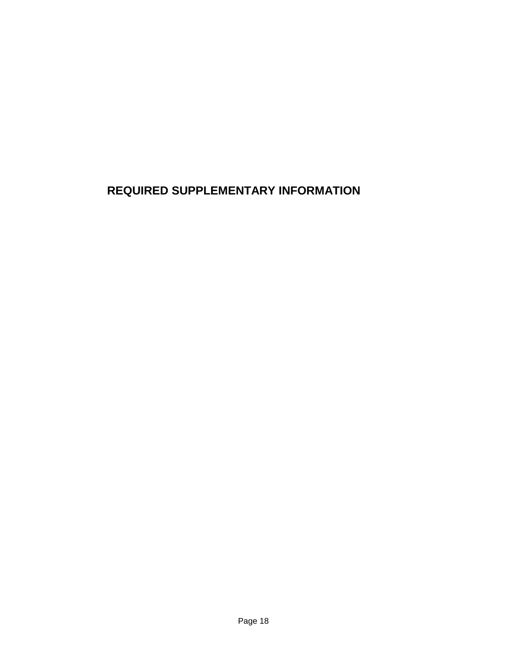## **REQUIRED SUPPLEMENTARY INFORMATION**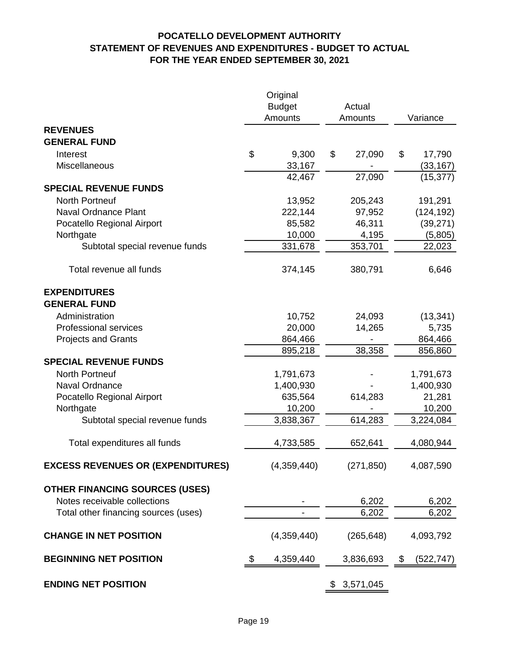### **POCATELLO DEVELOPMENT AUTHORITY STATEMENT OF REVENUES AND EXPENDITURES - BUDGET TO ACTUAL FOR THE YEAR ENDED SEPTEMBER 30, 2021**

|                                          | Original<br><b>Budget</b> |                  |         | Actual     |                        |  |
|------------------------------------------|---------------------------|------------------|---------|------------|------------------------|--|
|                                          |                           | Amounts          | Amounts |            | Variance               |  |
| <b>REVENUES</b><br><b>GENERAL FUND</b>   |                           |                  |         |            |                        |  |
|                                          | \$                        |                  | \$      |            | \$                     |  |
| Interest<br>Miscellaneous                |                           | 9,300            |         | 27,090     | 17,790                 |  |
|                                          |                           | 33,167<br>42,467 |         | 27,090     | (33, 167)<br>(15, 377) |  |
| <b>SPECIAL REVENUE FUNDS</b>             |                           |                  |         |            |                        |  |
| <b>North Portneuf</b>                    |                           | 13,952           |         | 205,243    | 191,291                |  |
| <b>Naval Ordnance Plant</b>              |                           | 222,144          |         | 97,952     | (124, 192)             |  |
| Pocatello Regional Airport               |                           | 85,582           |         | 46,311     | (39, 271)              |  |
| Northgate                                |                           | 10,000           |         | 4,195      | (5,805)                |  |
| Subtotal special revenue funds           |                           | 331,678          |         | 353,701    | 22,023                 |  |
|                                          |                           |                  |         |            |                        |  |
| Total revenue all funds                  |                           | 374,145          |         | 380,791    | 6,646                  |  |
| <b>EXPENDITURES</b>                      |                           |                  |         |            |                        |  |
| <b>GENERAL FUND</b>                      |                           |                  |         |            |                        |  |
| Administration                           |                           | 10,752           |         | 24,093     | (13, 341)              |  |
| <b>Professional services</b>             |                           | 20,000           |         | 14,265     | 5,735                  |  |
| <b>Projects and Grants</b>               |                           | 864,466          |         |            | 864,466                |  |
|                                          |                           | 895,218          |         | 38,358     | 856,860                |  |
| <b>SPECIAL REVENUE FUNDS</b>             |                           |                  |         |            |                        |  |
| <b>North Portneuf</b>                    |                           | 1,791,673        |         |            | 1,791,673              |  |
| <b>Naval Ordnance</b>                    |                           | 1,400,930        |         |            | 1,400,930              |  |
| Pocatello Regional Airport               |                           | 635,564          |         | 614,283    | 21,281                 |  |
| Northgate                                |                           | 10,200           |         |            | 10,200                 |  |
| Subtotal special revenue funds           |                           | 3,838,367        |         | 614,283    | 3,224,084              |  |
| Total expenditures all funds             |                           | 4,733,585        |         | 652,641    | 4,080,944              |  |
| <b>EXCESS REVENUES OR (EXPENDITURES)</b> |                           | (4,359,440)      |         | (271, 850) | 4,087,590              |  |
| <b>OTHER FINANCING SOURCES (USES)</b>    |                           |                  |         |            |                        |  |
| Notes receivable collections             |                           |                  |         | 6,202      | 6,202                  |  |
| Total other financing sources (uses)     |                           |                  |         | 6,202      | 6,202                  |  |
| <b>CHANGE IN NET POSITION</b>            |                           | (4,359,440)      |         | (265, 648) | 4,093,792              |  |
| <b>BEGINNING NET POSITION</b>            | \$                        | 4,359,440        |         | 3,836,693  | \$<br>(522, 747)       |  |
| <b>ENDING NET POSITION</b>               |                           |                  | \$      | 3,571,045  |                        |  |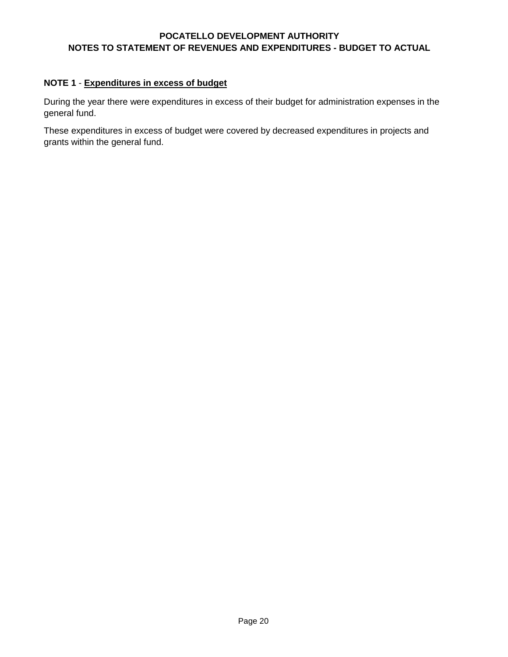### **POCATELLO DEVELOPMENT AUTHORITY NOTES TO STATEMENT OF REVENUES AND EXPENDITURES - BUDGET TO ACTUAL**

### **NOTE 1** - **Expenditures in excess of budget**

During the year there were expenditures in excess of their budget for administration expenses in the general fund.

These expenditures in excess of budget were covered by decreased expenditures in projects and grants within the general fund.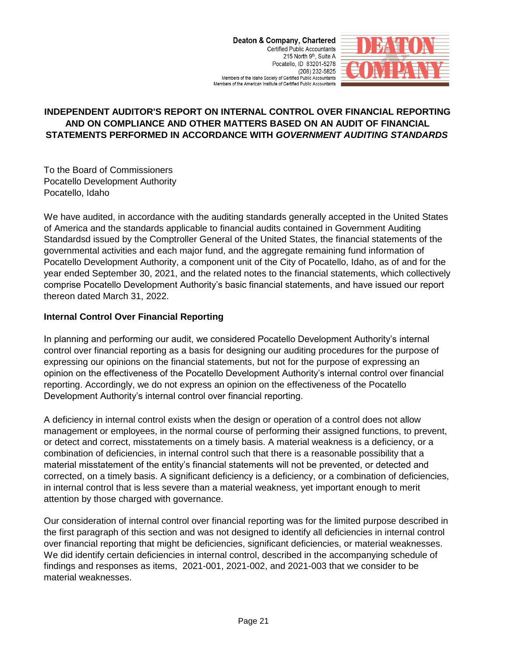

### **INDEPENDENT AUDITOR'S REPORT ON INTERNAL CONTROL OVER FINANCIAL REPORTING AND ON COMPLIANCE AND OTHER MATTERS BASED ON AN AUDIT OF FINANCIAL STATEMENTS PERFORMED IN ACCORDANCE WITH** *GOVERNMENT AUDITING STANDARDS*

To the Board of Commissioners Pocatello Development Authority Pocatello, Idaho

We have audited, in accordance with the auditing standards generally accepted in the United States of America and the standards applicable to financial audits contained in Government Auditing Standardsd issued by the Comptroller General of the United States, the financial statements of the governmental activities and each major fund, and the aggregate remaining fund information of Pocatello Development Authority, a component unit of the City of Pocatello, Idaho, as of and for the year ended September 30, 2021, and the related notes to the financial statements, which collectively comprise Pocatello Development Authority's basic financial statements, and have issued our report thereon dated March 31, 2022.

### **Internal Control Over Financial Reporting**

In planning and performing our audit, we considered Pocatello Development Authority's internal control over financial reporting as a basis for designing our auditing procedures for the purpose of expressing our opinions on the financial statements, but not for the purpose of expressing an opinion on the effectiveness of the Pocatello Development Authority's internal control over financial reporting. Accordingly, we do not express an opinion on the effectiveness of the Pocatello Development Authority's internal control over financial reporting.

A deficiency in internal control exists when the design or operation of a control does not allow management or employees, in the normal course of performing their assigned functions, to prevent, or detect and correct, misstatements on a timely basis. A material weakness is a deficiency, or a combination of deficiencies, in internal control such that there is a reasonable possibility that a material misstatement of the entity's financial statements will not be prevented, or detected and corrected, on a timely basis. A significant deficiency is a deficiency, or a combination of deficiencies, in internal control that is less severe than a material weakness, yet important enough to merit attention by those charged with governance.

Our consideration of internal control over financial reporting was for the limited purpose described in the first paragraph of this section and was not designed to identify all deficiencies in internal control over financial reporting that might be deficiencies, significant deficiencies, or material weaknesses. We did identify certain deficiencies in internal control, described in the accompanying schedule of findings and responses as items, 2021-001, 2021-002, and 2021-003 that we consider to be material weaknesses.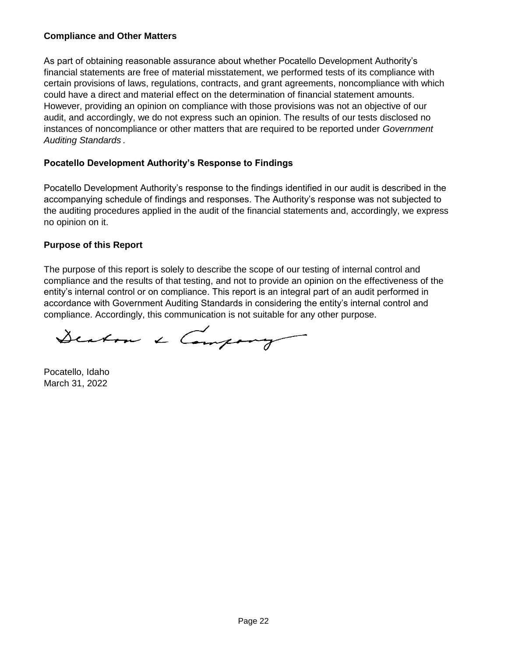### **Compliance and Other Matters**

As part of obtaining reasonable assurance about whether Pocatello Development Authority's financial statements are free of material misstatement, we performed tests of its compliance with certain provisions of laws, regulations, contracts, and grant agreements, noncompliance with which could have a direct and material effect on the determination of financial statement amounts. However, providing an opinion on compliance with those provisions was not an objective of our audit, and accordingly, we do not express such an opinion. The results of our tests disclosed no instances of noncompliance or other matters that are required to be reported under *Government Auditing Standards* .

#### **Pocatello Development Authority's Response to Findings**

Pocatello Development Authority's response to the findings identified in our audit is described in the accompanying schedule of findings and responses. The Authority's response was not subjected to the auditing procedures applied in the audit of the financial statements and, accordingly, we express no opinion on it.

### **Purpose of this Report**

The purpose of this report is solely to describe the scope of our testing of internal control and compliance and the results of that testing, and not to provide an opinion on the effectiveness of the entity's internal control or on compliance. This report is an integral part of an audit performed in accordance with Government Auditing Standards in considering the entity's internal control and

compliance. Accordingly, this communication is not suitable for any other purpose.

Pocatello, Idaho March 31, 2022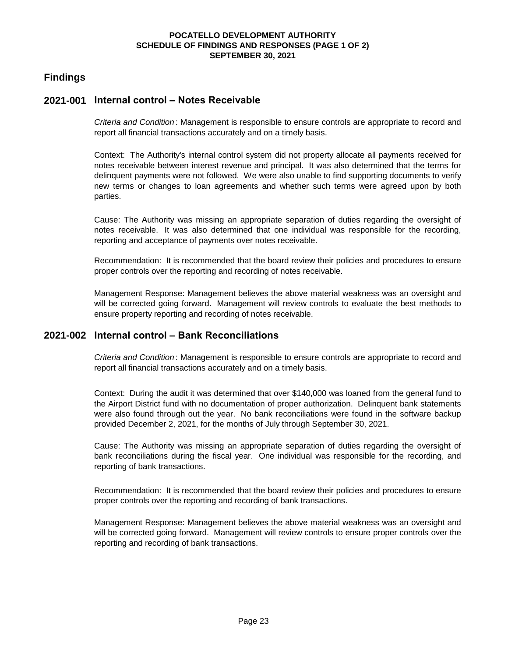#### **POCATELLO DEVELOPMENT AUTHORITY SCHEDULE OF FINDINGS AND RESPONSES (PAGE 1 OF 2) SEPTEMBER 30, 2021**

### **Findings**

### **2021-001 Internal control – Notes Receivable**

*Criteria and Condition* : Management is responsible to ensure controls are appropriate to record and report all financial transactions accurately and on a timely basis.

Context: The Authority's internal control system did not property allocate all payments received for notes receivable between interest revenue and principal. It was also determined that the terms for delinquent payments were not followed. We were also unable to find supporting documents to verify new terms or changes to loan agreements and whether such terms were agreed upon by both parties.

Cause: The Authority was missing an appropriate separation of duties regarding the oversight of notes receivable. It was also determined that one individual was responsible for the recording, reporting and acceptance of payments over notes receivable.

Recommendation: It is recommended that the board review their policies and procedures to ensure proper controls over the reporting and recording of notes receivable.

Management Response: Management believes the above material weakness was an oversight and will be corrected going forward. Management will review controls to evaluate the best methods to ensure property reporting and recording of notes receivable.

#### **2021-002 Internal control – Bank Reconciliations**

*Criteria and Condition* : Management is responsible to ensure controls are appropriate to record and report all financial transactions accurately and on a timely basis.

Context: During the audit it was determined that over \$140,000 was loaned from the general fund to the Airport District fund with no documentation of proper authorization. Delinquent bank statements were also found through out the year. No bank reconciliations were found in the software backup provided December 2, 2021, for the months of July through September 30, 2021.

Cause: The Authority was missing an appropriate separation of duties regarding the oversight of bank reconciliations during the fiscal year. One individual was responsible for the recording, and reporting of bank transactions.

Recommendation: It is recommended that the board review their policies and procedures to ensure proper controls over the reporting and recording of bank transactions.

Management Response: Management believes the above material weakness was an oversight and will be corrected going forward. Management will review controls to ensure proper controls over the reporting and recording of bank transactions.